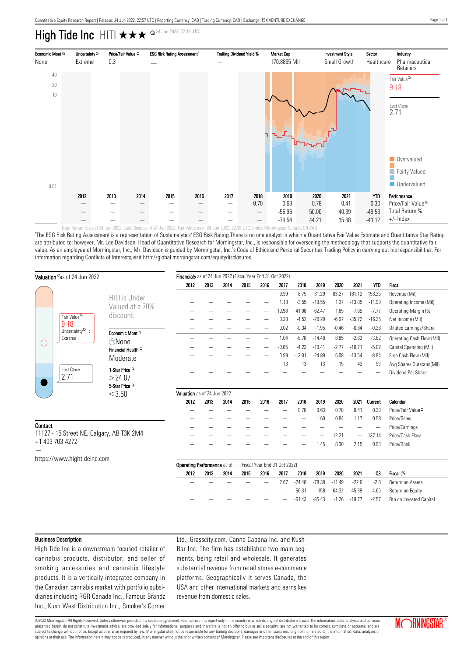# High Tide Inc HITI  $\star\star\star$   $\triangleq$  24 Jun 2022, 22:38 UTC



Fotal Return % as of 24 Jun 2022. Last Close as of 24 Jun 2022. Fair Value as of 24 Jun 2022, 22:38 UTC. Index: Morningstar Canada GI

'The ESG Risk Rating Assessment is a representation of Sustainalytics' ESG Risk Rating.There is no one analyst in which a Quantitative Fair Value Estimate and Quantitative Star Rating are attributed to; however, Mr. Lee Davidson, Head of Quantitative Research for Morningstar, Inc., is responsible for overseeing the methodology that supports the quantitative fair value. As an employee of Morningstar, Inc., Mr. Davidson is guided by Morningstar, Inc.'s Code of Ethics and Personal Securities Trading Policy in carrying out his responsibilities. For information regarding Conflicts of Interests,visit http://global.morningstar.com/equitydisclosures.

|                                                              | Valuation <sup>o</sup> as of 24 Jun 2022                       | Financials as of 24 Jun 2022 (Fiscal Year End 31 Oct 2022) |                                                                      |                             |      |      |      |         |          |          |          |                          |                |                               |
|--------------------------------------------------------------|----------------------------------------------------------------|------------------------------------------------------------|----------------------------------------------------------------------|-----------------------------|------|------|------|---------|----------|----------|----------|--------------------------|----------------|-------------------------------|
|                                                              |                                                                |                                                            | 2012                                                                 | 2013                        | 2014 | 2015 | 2016 | 2017    | 2018     | 2019     | 2020     | 2021                     | <b>YTD</b>     | Fiscal                        |
|                                                              |                                                                | <b>HITI</b> is Under                                       |                                                                      |                             |      |      |      | 9.99    | 8.75     | 31.29    | 83.27    | 181.12                   | 153.25         | Revenue (Mil)                 |
|                                                              |                                                                |                                                            |                                                                      |                             |      |      |      | 1.10    | $-3.59$  | $-19.55$ | 1.37     | $-13.85$                 | $-11.90$       | Operating Income (Mil)        |
|                                                              |                                                                | Valued at a 70%                                            |                                                                      |                             |      |      |      | 10.98   | $-41.08$ | $-62.47$ | 1.65     | $-7.65$                  | $-7.77$        | Operating Margin (%)          |
|                                                              | Fair Value <sup>Q</sup>                                        | discount.                                                  |                                                                      |                             |      |      |      | 0.30    | $-4.52$  | $-26.29$ | $-6.97$  | $-35.72$                 | $-16.25$       | Net Income (Mil)              |
|                                                              | 9.18<br>Uncertainty $^{\mathsf{Q}}$ :<br>Extreme<br>Last Close |                                                            |                                                                      |                             |      |      |      | 0.02    | $-0.34$  | $-1.95$  | $-0.46$  | $-0.84$                  | $-0.28$        | Diluted Earnings/Share        |
|                                                              |                                                                | Economic Moat <sup>Q</sup>                                 |                                                                      |                             |      |      |      | 1.04    | $-8.78$  | $-14.48$ | 8.85     | $-2.83$                  | $-3.82$        | Operating Cash Flow (Mil)     |
|                                                              |                                                                | ©None                                                      |                                                                      |                             |      |      |      | $-0.05$ | $-4.23$  | $-10.41$ | $-2.77$  | $-10.71$                 | $-5.02$        | Capital Spending (Mil)        |
|                                                              |                                                                | Financial Health <sup>Q</sup>                              |                                                                      |                             |      |      |      | 0.99    | $-13.01$ | $-24.89$ | 6.08     | $-13.54$                 | $-8.84$        | Free Cash Flow (Mil)          |
|                                                              |                                                                | Moderate                                                   |                                                                      |                             |      |      |      | 13      | 13       | 13       | 15       | 42                       | 59             | Avg Shares Outstand(Mil)      |
|                                                              |                                                                | 1-Star Price <sup>Q</sup>                                  |                                                                      |                             |      |      |      |         |          |          |          |                          |                | Dividend Per Share            |
|                                                              | 2.71                                                           | >24.07                                                     |                                                                      |                             |      |      |      |         |          |          |          |                          |                |                               |
|                                                              |                                                                | 5-Star Price <sup>Q</sup>                                  |                                                                      |                             |      |      |      |         |          |          |          |                          |                |                               |
|                                                              |                                                                | < 3.50                                                     |                                                                      | Valuation as of 24 Jun 2022 |      |      |      |         |          |          |          |                          |                |                               |
|                                                              |                                                                |                                                            | 2012                                                                 | 2013                        | 2014 | 2015 | 2016 | 2017    | 2018     | 2019     | 2020     | 2021                     | Current        | Calendar                      |
|                                                              |                                                                |                                                            |                                                                      |                             |      |      |      |         | 0.70     | 0.63     | 0.78     | 0.41                     | 0.30           | Price/Fair Value <sup>Q</sup> |
|                                                              |                                                                |                                                            |                                                                      |                             |      |      |      |         |          | 1.60     | 0.84     | 1.17                     | 0.58           | Price/Sales                   |
| Contact                                                      |                                                                |                                                            |                                                                      |                             |      |      |      |         |          |          |          | $\overline{\phantom{a}}$ | Price/Earnings |                               |
| 11127 - 15 Street NE, Calgary, AB T3K 2M4<br>+1 403 703-4272 |                                                                |                                                            |                                                                      |                             |      |      |      |         |          |          | 12.21    | $\qquad \qquad$          | 137.14         | Price/Cash Flow               |
|                                                              |                                                                |                                                            |                                                                      |                             |      |      |      |         |          | 1.45     | 8.30     | 2.15                     | 0.93           | Price/Book                    |
|                                                              |                                                                |                                                            |                                                                      |                             |      |      |      |         |          |          |          |                          |                |                               |
|                                                              | https://www.hightideinc.com                                    |                                                            | <b>Operating Performance</b> as of $-$ (Fiscal Year End 31 Oct 2022) |                             |      |      |      |         |          |          |          |                          |                |                               |
|                                                              |                                                                |                                                            |                                                                      |                             |      |      |      |         |          |          |          |                          |                |                               |
|                                                              |                                                                |                                                            | 2012                                                                 | 2013                        | 2014 | 2015 | 2016 | 2017    | 2018     | 2019     | 2020     | 2021                     | 03             | Fiscal (%)                    |
|                                                              |                                                                |                                                            |                                                                      |                             |      |      | -    | 2.67    | $-24.48$ | $-78.38$ | $-11.49$ | $-22.6$                  | $-2.8$         | Return on Assets              |

#### Business Description

High Tide Inc is a downstream focused retailer of cannabis products, distributor, and seller of smoking accessories and cannabis lifestyle products. It is a vertically-integrated company in the Canadian cannabis market with portfolio subsidiaries including RGR Canada Inc., Famous Brandz Inc., Kush West Distribution Inc., Smoker's Corner Ltd., Grasscity.com, Canna Cabana Inc. and Kush-Bar Inc. The firm has established two main segments, being retail and wholesale. It generates substantial revenue from retail stores e-commerce platforms. Geographically it serves Canada, the USA and other international markets and earns key revenue from domestic sales.

©2022 Morningstar. All Rights Reserved. Unless otherwise provided in a separate agreement, you may use this report only in the country in which its original distributor is based. The information, data, analyses and opinions presented herein do not constitute investment advice; are provided solely for informational purposes and therefore is not an offer to buy or sell a security; are not warranted to be correct, complete or accurate; and are subject to change without notice. Except as otherwise required by law, Morningstar shall not be responsible for any trading decisions, damages or other losses resulting from, or related to, the information, data, analyses



— — — — — — -66.31 -158 -64.32 -45.39 -4.65 Return on Equity — — — — — — -61.43 -85.43 -1.26 -19.77 -2.57 Rtn on Invested Capital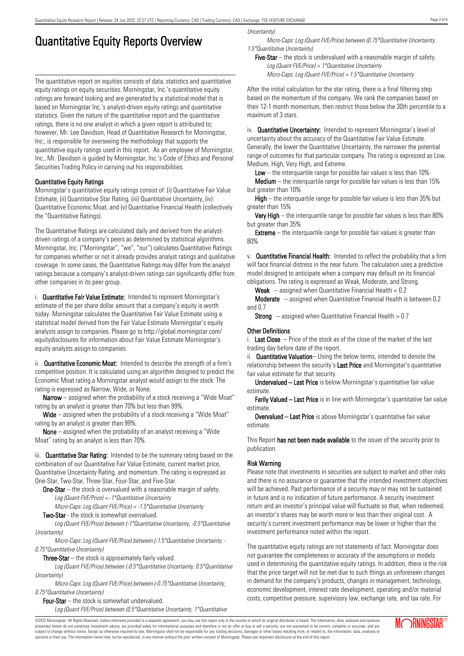## Quantitative Equity Reports Overview

The quantitative report on equities consists of data, statistics and quantitative equity ratings on equity securities. Morningstar, Inc.'s quantitative equity ratings are forward looking and are generated by a statistical model that is based on Morningstar Inc.'s analyst-driven equity ratings and quantitative statistics. Given the nature of the quantitative report and the quantitative ratings, there is no one analyst in which a given report is attributed to; however, Mr. Lee Davidson, Head of Quantitative Research for Morningstar, Inc., is responsible for overseeing the methodology that supports the quantitative equity ratings used in this report. As an employee of Morningstar, Inc., Mr. Davidson is guided by Morningstar, Inc.'s Code of Ethics and Personal Securities Trading Policy in carrying out his responsibilities.

### Quantitative Equity Ratings

Morningstar's quantitative equity ratings consist of: (i) Quantitative Fair Value Estimate, (ii) Quantitative Star Rating, (iii) Quantitative Uncertainty, (iv) Quantitative Economic Moat, and (v) Quantitative Financial Health (collectively the "Quantitative Ratings).

The Quantitative Ratings are calculated daily and derived from the analystdriven ratings of a company's peers as determined by statistical algorithms. Morningstar, Inc. ("Morningstar", "we", "our") calculates Quantitative Ratings for companies whether or not it already provides analyst ratings and qualitative coverage. In some cases, the Quantitative Ratings may differ from the analyst ratings because a company's analyst-driven ratings can significantly differ from other companies in its peer group.

i. **Quantitative Fair Value Estimate:** Intended to represent Morningstar's estimate of the per share dollar amount that a company's equity is worth today. Morningstar calculates the Quantitative Fair Value Estimate using a statistical model derived from the Fair Value Estimate Morningstar's equity analysts assign to companies. Please go to http://global.morningstar.com/ equitydisclosures for information about Fair Value Estimate Morningstar's equity analysts assign to companies.

ii. **Quantitative Economic Moat:** Intended to describe the strength of a firm's competitive position. It is calculated using an algorithm designed to predict the Economic Moat rating a Morningstar analyst would assign to the stock. The rating is expressed as Narrow, Wide, or None.

**Narrow** – assigned when the probability of a stock receiving a "Wide Moat" rating by an analyst is greater than 70% but less than 99%.

Wide – assigned when the probability of a stock receiving a "Wide Moat" rating by an analyst is greater than 99%.

None – assigned when the probability of an analyst receiving a "Wide Moat" rating by an analyst is less than 70%.

iii. **Quantitative Star Rating:** Intended to be the summary rating based on the combination of our Quantitative Fair Value Estimate, current market price, Quantitative Uncertainty Rating, and momentum. The rating is expressed as One-Star, Two-Star, Three-Star, Four-Star, and Five-Star.

**One-Star** – the stock is overvalued with a reasonable margin of safety. Log (Quant FVE/Price) <sup>&</sup>lt; -1\*Quantitative Uncertainty

Micro-Caps: Log (Quant FVE/Price) <sup>&</sup>lt; -1.5\*Quantitative Uncertainty

Two-Star - the stock is somewhat overvalued.

Log (Quant FVE/Price) between (-1\*Quantitative Uncertainty, -0.5\*Quantitative Uncertainty)

Micro-Caps: Log (Quant FVE/Price) between (-1.5\*Quantitative Uncertainty, - 0.75\*Quantitative Uncertainty)

**Three-Star**  $-$  the stock is approximately fairly valued.

Log (Quant FVE/Price) between (-0.5\*Quantitative Uncertainty, 0.5\*Quantitative Uncertainty)

Micro-Caps: Log (Quant FVE/Price) between (-0.75\*Quantitative Uncertainty, 0.75\*Quantitative Uncertainty)

Four-Star – the stock is somewhat undervalued. Log (Quant FVE/Price) between (0.5\*Quantitative Uncertainty, 1\*Quantitative Uncertainty)

Micro-Caps: Log (Quant FVE/Price) between (0.75\*Quantitative Uncertainty, 1.5\*Quantitative Uncertainty)

Five-Star – the stock is undervalued with a reasonable margin of safety. Log (Quant FVE/Price) <sup>&</sup>gt; 1\*Quantitative Uncertainty Micro-Caps: Log (Quant FVE/Price) <sup>&</sup>gt; 1.5\*Quantitative Uncertainty

After the initial calculation for the star rating, there is a final filtering step based on the momentum of the company. We rank the companies based on their 12-1 month momentum, then restrict those below the 30th percentile to a maximum of 3 stars.

iv. **Quantitative Uncertainty:** Intended to represent Morningstar's level of uncertainty about the accuracy of the Quantitative Fair Value Estimate. Generally, the lower the Quantitative Uncertainty, the narrower the potential range of outcomes for that particular company. The rating is expressed as Low, Medium, High, Very High, and Extreme.

Low  $-$  the interguartile range for possible fair values is less than 10%

**Medium** – the interquartile range for possible fair values is less than  $15\%$ but greater than 10%

High – the interquartile range for possible fair values is less than 35% but greater than 15%

Very High – the interquartile range for possible fair values is less than 80% but greater than 35%

**Extreme** – the interquartile range for possible fair values is greater than 80%

v. Quantitative Financial Health: Intended to reflect the probability that a firm will face financial distress in the near future. The calculation uses a predictive model designed to anticipate when a company may default on its financial obligations. The rating is expressed as Weak, Moderate, and Strong.

**Weak**  $-$  assigned when Quantitative Financial Health  $< 0.2$ 

Moderate – assigned when Quantitative Financial Health is between 0.2 and 0.7

**Strong** – assigned when Quantitative Financial Health  $> 0.7$ 

#### Other Definitions

i. **Last Close**  $-$  Price of the stock as of the close of the market of the last trading day before date of the report.

ii. **Quantitative Valuation**– Using the below terms, intended to denote the relationship between the security's Last Price and Morningstar's quantitative fair value estimate for that security.

Undervalued – Last Price is below Morningstar's quantitative fair value estimate.

Farily Valued – Last Price is in line with Morningstar's quantitative fair value estimate.

Overvalued – Last Price is above Morningstar's quantitative fair value estimate.

This Report has not been made available to the issuer of the security prior to publication.

### Risk Warning

Please note that investments in securities are subject to market and other risks and there is no assurance or guarantee that the intended investment objectives will be achieved. Past performance of a security may or may not be sustained in future and is no indication of future performance. A security investment return and an investor's principal value will fluctuate so that, when redeemed, an investor's shares may be worth more or less than their original cost. A security's current investment performance may be lower or higher than the investment performance noted within the report.

The quantitative equity ratings are not statements of fact. Morningstar does not guarantee the completeness or accuracy of the assumptions or models used in determining the quantitative equity ratings. In addition, there is the risk that the price target will not be met due to such things as unforeseen changes in demand for the company's products, changes in management, technology, economic development, interest rate development, operating and/or material costs, competitive pressure, supervisory law, exchange rate, and tax rate. For

©2022 Morningstar. All Rights Reserved. Unless otherwise provided in a separate agreement, you may use this report only in the country in which its original distributor is based. The information, data, analyses and opinions presented herein do not constitute investment advice; are provided solely for informational purposes and therefore is not an offer to buy or sell a security; are not warranted to be correct, complete or accurate; and are subject to change without notice. Except as otherwise required by law, Morningstar shall not be responsible for any trading decisions, damages or other losses resulting from, or related to, the information, data, analyses

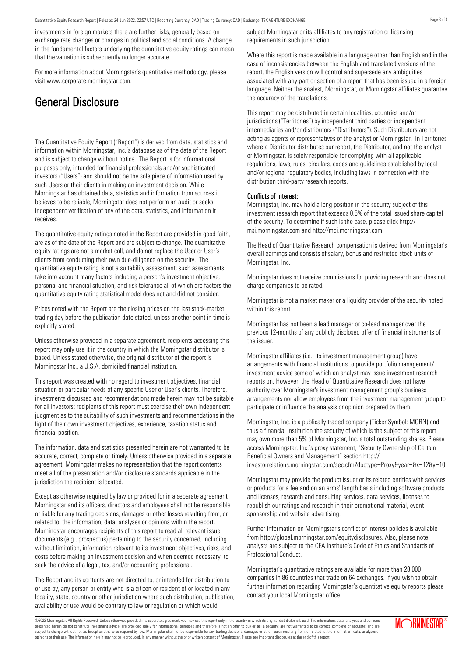investments in foreign markets there are further risks, generally based on exchange rate changes or changes in political and social conditions. A change in the fundamental factors underlying the quantitative equity ratings can mean that the valuation is subsequently no longer accurate.

For more information about Morningstar's quantitative methodology, please visit www.corporate.morningstar.com.

# General Disclosure

The Quantitative Equity Report ("Report") is derived from data, statistics and information within Morningstar, Inc.'s database as of the date of the Report and is subject to change without notice. The Report is for informational purposes only, intended for financial professionals and/or sophisticated investors ("Users") and should not be the sole piece of information used by such Users or their clients in making an investment decision. While Morningstar has obtained data, statistics and information from sources it believes to be reliable, Morningstar does not perform an audit or seeks independent verification of any of the data, statistics, and information it receives.

The quantitative equity ratings noted in the Report are provided in good faith, are as of the date of the Report and are subject to change. The quantitative equity ratings are not a market call, and do not replace the User or User's clients from conducting their own due-diligence on the security. The quantitative equity rating is not a suitability assessment; such assessments take into account many factors including a person's investment objective, personal and financial situation, and risk tolerance all of which are factors the quantitative equity rating statistical model does not and did not consider.

Prices noted with the Report are the closing prices on the last stock-market trading day before the publication date stated, unless another point in time is explicitly stated.

Unless otherwise provided in a separate agreement, recipients accessing this report may only use it in the country in which the Morningstar distributor is based. Unless stated otherwise, the original distributor of the report is Morningstar Inc., a U.S.A. domiciled financial institution.

This report was created with no regard to investment objectives, financial situation or particular needs of any specific User or User's clients. Therefore, investments discussed and recommendations made herein may not be suitable for all investors: recipients of this report must exercise their own independent judgment as to the suitability of such investments and recommendations in the light of their own investment objectives, experience, taxation status and financial position.

The information, data and statistics presented herein are not warranted to be accurate, correct, complete or timely. Unless otherwise provided in a separate agreement, Morningstar makes no representation that the report contents meet all of the presentation and/or disclosure standards applicable in the jurisdiction the recipient is located.

Except as otherwise required by law or provided for in a separate agreement, Morningstar and its officers, directors and employees shall not be responsible or liable for any trading decisions, damages or other losses resulting from, or related to, the information, data, analyses or opinions within the report. Morningstar encourages recipients of this report to read all relevant issue documents (e.g., prospectus) pertaining to the security concerned, including without limitation, information relevant to its investment objectives, risks, and costs before making an investment decision and when deemed necessary, to seek the advice of a legal, tax, and/or accounting professional.

The Report and its contents are not directed to, or intended for distribution to or use by, any person or entity who is a citizen or resident of or located in any locality, state, country or other jurisdiction where such distribution, publication, availability or use would be contrary to law or regulation or which would

subject Morningstar or its affiliates to any registration or licensing requirements in such jurisdiction.

Where this report is made available in a language other than English and in the case of inconsistencies between the English and translated versions of the report, the English version will control and supersede any ambiguities associated with any part or section of a report that has been issued in a foreign language. Neither the analyst, Morningstar, or Morningstar affiliates guarantee the accuracy of the translations.

This report may be distributed in certain localities, countries and/or jurisdictions ("Territories") by independent third parties or independent intermediaries and/or distributors ("Distributors"). Such Distributors are not acting as agents or representatives of the analyst or Morningstar. In Territories where a Distributor distributes our report, the Distributor, and not the analyst or Morningstar, is solely responsible for complying with all applicable regulations, laws, rules, circulars, codes and guidelines established by local and/or regional regulatory bodies, including laws in connection with the distribution third-party research reports.

### Conflicts of Interest:

Morningstar, Inc. may hold a long position in the security subject of this investment research report that exceeds 0.5% of the total issued share capital of the security. To determine if such is the case, please click http:// msi.morningstar.com and http://mdi.morningstar.com.

The Head of Quantitative Research compensation is derived from Morningstar's overall earnings and consists of salary, bonus and restricted stock units of Morningstar, Inc.

Morningstar does not receive commissions for providing research and does not charge companies to be rated.

Morningstar is not a market maker or a liquidity provider of the security noted within this report.

Morningstar has not been a lead manager or co-lead manager over the previous 12-months of any publicly disclosed offer of financial instruments of the issuer.

Morningstar affiliates (i.e., its investment management group) have arrangements with financial institutions to provide portfolio management/ investment advice some of which an analyst may issue investment research reports on. However, the Head of Quantitative Research does not have authority over Morningstar's investment management group's business arrangements nor allow employees from the investment management group to participate or influence the analysis or opinion prepared by them.

Morningstar, Inc. is a publically traded company (Ticker Symbol: MORN) and thus a financial institution the security of which is the subject of this report may own more than 5% of Morningstar, Inc.'s total outstanding shares. Please access Morningstar, Inc.'s proxy statement, "Security Ownership of Certain Beneficial Owners and Management" section http://

investorrelations.morningstar.com/sec.cfm?doctype=Proxy&year=&x=12&y=10

Morningstar may provide the product issuer or its related entities with services or products for a fee and on an arms' length basis including software products and licenses, research and consulting services, data services, licenses to republish our ratings and research in their promotional material, event sponsorship and website advertising.

Further information on Morningstar's conflict of interest policies is available from http://global.morningstar.com/equitydisclosures. Also, please note analysts are subject to the CFA Institute's Code of Ethics and Standards of Professional Conduct.

Morningstar's quantitative ratings are available for more than 28,000 companies in 86 countries that trade on 64 exchanges. If you wish to obtain further information regarding Morningstar's quantitative equity reports please contact your local Morningstar office.

©2022 Morningstar. All Rights Reserved. Unless otherwise provided in a separate agreement, you may use this report only in the country in which its original distributor is based. The information, data, analyses and opinions presented herein do not constitute investment advice; are provided solely for informational purposes and therefore is not an offer to buy or sell a security; are not warranted to be correct, complete or accurate; and are subject to change without notice. Except as otherwise required by law, Morningstar shall not be responsible for any trading decisions, damages or other losses resulting from, or related to, the information, data, analyses